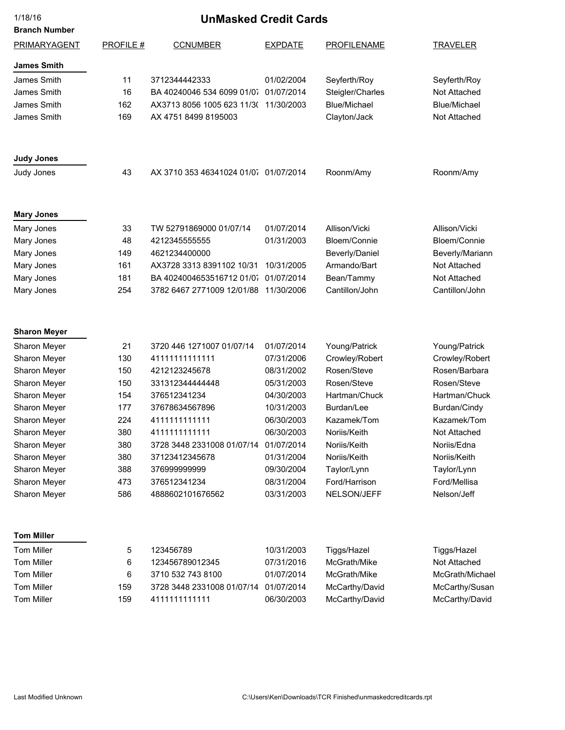| 1/18/16              | <b>UnMasked Credit Cards</b> |                                       |                |                     |                     |
|----------------------|------------------------------|---------------------------------------|----------------|---------------------|---------------------|
| <b>Branch Number</b> |                              |                                       |                |                     |                     |
| PRIMARYAGENT         | <b>PROFILE#</b>              | <b>CCNUMBER</b>                       | <b>EXPDATE</b> | <b>PROFILENAME</b>  | <b>TRAVELER</b>     |
| <b>James Smith</b>   |                              |                                       |                |                     |                     |
| James Smith          | 11                           | 3712344442333                         | 01/02/2004     | Seyferth/Roy        | Seyferth/Roy        |
| James Smith          | 16                           | BA 40240046 534 6099 01/07 01/07/2014 |                | Steigler/Charles    | Not Attached        |
| James Smith          | 162                          | AX3713 8056 1005 623 11/3( 11/30/2003 |                | <b>Blue/Michael</b> | <b>Blue/Michael</b> |
| James Smith          | 169                          | AX 4751 8499 8195003                  |                | Clayton/Jack        | Not Attached        |
| <b>Judy Jones</b>    |                              |                                       |                |                     |                     |
| Judy Jones           | 43                           | AX 3710 353 46341024 01/07 01/07/2014 |                | Roonm/Amy           | Roonm/Amy           |
| <b>Mary Jones</b>    |                              |                                       |                |                     |                     |
| Mary Jones           | 33                           | TW 52791869000 01/07/14               | 01/07/2014     | Allison/Vicki       | Allison/Vicki       |
| Mary Jones           | 48                           | 4212345555555                         | 01/31/2003     | Bloem/Connie        | Bloem/Connie        |
| Mary Jones           | 149                          | 4621234400000                         |                | Beverly/Daniel      | Beverly/Mariann     |
| Mary Jones           | 161                          | AX3728 3313 8391102 10/31             | 10/31/2005     | Armando/Bart        | Not Attached        |
| Mary Jones           | 181                          | BA 4024004653516712 01/07             | 01/07/2014     | Bean/Tammy          | Not Attached        |
| Mary Jones           | 254                          | 3782 6467 2771009 12/01/88            | 11/30/2006     | Cantillon/John      | Cantillon/John      |
| <b>Sharon Meyer</b>  |                              |                                       |                |                     |                     |
| Sharon Meyer         | 21                           | 3720 446 1271007 01/07/14             | 01/07/2014     | Young/Patrick       | Young/Patrick       |
| Sharon Meyer         | 130                          | 41111111111111                        | 07/31/2006     | Crowley/Robert      | Crowley/Robert      |
| Sharon Meyer         | 150                          | 4212123245678                         | 08/31/2002     | Rosen/Steve         | Rosen/Barbara       |
| Sharon Meyer         | 150                          | 331312344444448                       | 05/31/2003     | Rosen/Steve         | Rosen/Steve         |
| Sharon Meyer         | 154                          | 376512341234                          | 04/30/2003     | Hartman/Chuck       | Hartman/Chuck       |
| Sharon Meyer         | 177                          | 37678634567896                        | 10/31/2003     | Burdan/Lee          | Burdan/Cindy        |
| Sharon Meyer         | 224                          | 4111111111111                         | 06/30/2003     | Kazamek/Tom         | Kazamek/Tom         |
| Sharon Meyer         | 380                          | 4111111111111                         | 06/30/2003     | Noriis/Keith        | Not Attached        |
| Sharon Meyer         | 380                          | 3728 3448 2331008 01/07/14            | 01/07/2014     | Noriis/Keith        | Noriis/Edna         |
| Sharon Meyer         | 380                          | 37123412345678                        | 01/31/2004     | Noriis/Keith        | Noriis/Keith        |
| Sharon Meyer         | 388                          | 376999999999                          | 09/30/2004     | Taylor/Lynn         | Taylor/Lynn         |
| Sharon Meyer         | 473                          | 376512341234                          | 08/31/2004     | Ford/Harrison       | Ford/Mellisa        |
| Sharon Meyer         | 586                          | 4888602101676562                      | 03/31/2003     | NELSON/JEFF         | Nelson/Jeff         |
| <b>Tom Miller</b>    |                              |                                       |                |                     |                     |
| <b>Tom Miller</b>    | 5                            | 123456789                             | 10/31/2003     | Tiggs/Hazel         | Tiggs/Hazel         |
| Tom Miller           | 6                            | 123456789012345                       | 07/31/2016     | McGrath/Mike        | Not Attached        |
| Tom Miller           | 6                            | 3710 532 743 8100                     | 01/07/2014     | McGrath/Mike        | McGrath/Michael     |
| Tom Miller           | 159                          | 3728 3448 2331008 01/07/14            | 01/07/2014     | McCarthy/David      | McCarthy/Susan      |
| <b>Tom Miller</b>    | 159                          | 4111111111111                         | 06/30/2003     | McCarthy/David      | McCarthy/David      |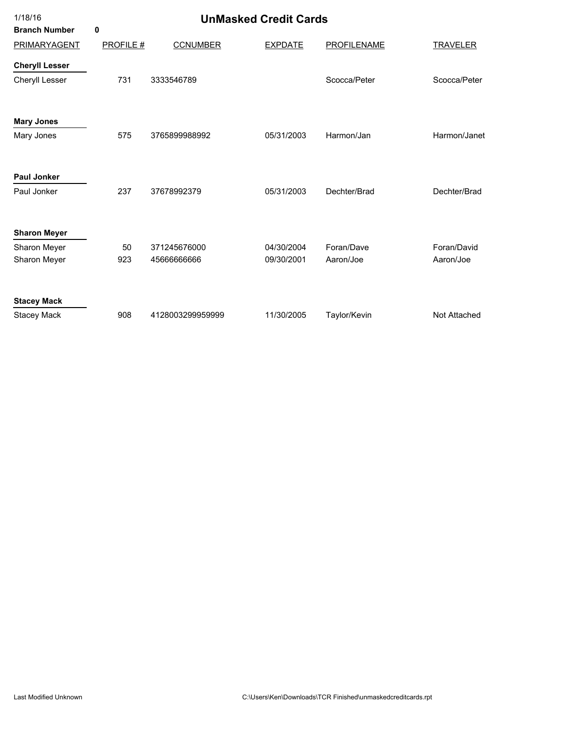| 1/18/16               | <b>UnMasked Credit Cards</b> |                  |                |                    |                 |  |
|-----------------------|------------------------------|------------------|----------------|--------------------|-----------------|--|
| <b>Branch Number</b>  | 0                            |                  |                |                    |                 |  |
| PRIMARYAGENT          | <b>PROFILE#</b>              | <b>CCNUMBER</b>  | <b>EXPDATE</b> | <b>PROFILENAME</b> | <b>TRAVELER</b> |  |
| <b>Cheryll Lesser</b> |                              |                  |                |                    |                 |  |
| Cheryll Lesser        | 731                          | 3333546789       |                | Scocca/Peter       | Scocca/Peter    |  |
| <b>Mary Jones</b>     |                              |                  |                |                    |                 |  |
| Mary Jones            | 575                          | 3765899988992    | 05/31/2003     | Harmon/Jan         | Harmon/Janet    |  |
| <b>Paul Jonker</b>    |                              |                  |                |                    |                 |  |
| Paul Jonker           | 237                          | 37678992379      | 05/31/2003     | Dechter/Brad       | Dechter/Brad    |  |
| <b>Sharon Meyer</b>   |                              |                  |                |                    |                 |  |
| Sharon Meyer          | 50                           | 371245676000     | 04/30/2004     | Foran/Dave         | Foran/David     |  |
| Sharon Meyer          | 923                          | 4566666666       | 09/30/2001     | Aaron/Joe          | Aaron/Joe       |  |
| <b>Stacey Mack</b>    |                              |                  |                |                    |                 |  |
| <b>Stacey Mack</b>    | 908                          | 4128003299959999 | 11/30/2005     | Taylor/Kevin       | Not Attached    |  |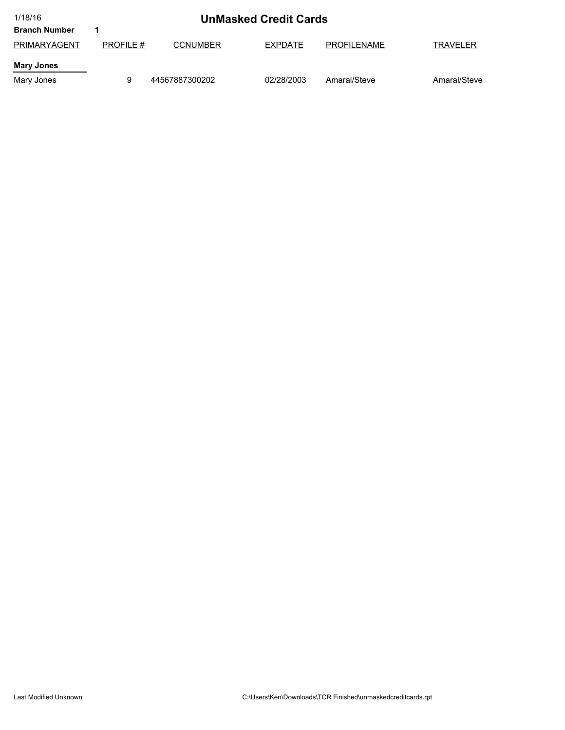| 1/18/16              | <b>UnMasked Credit Cards</b> |                 |            |                    |                 |
|----------------------|------------------------------|-----------------|------------|--------------------|-----------------|
| <b>Branch Number</b> |                              |                 |            |                    |                 |
| PRIMARYAGENT         | <b>PROFILE #</b>             | <b>CCNUMBER</b> | EXPDATE    | <b>PROFILENAME</b> | <b>TRAVELER</b> |
| <b>Mary Jones</b>    |                              |                 |            |                    |                 |
| Mary Jones           | 9                            | 44567887300202  | 02/28/2003 | Amaral/Steve       | Amaral/Steve    |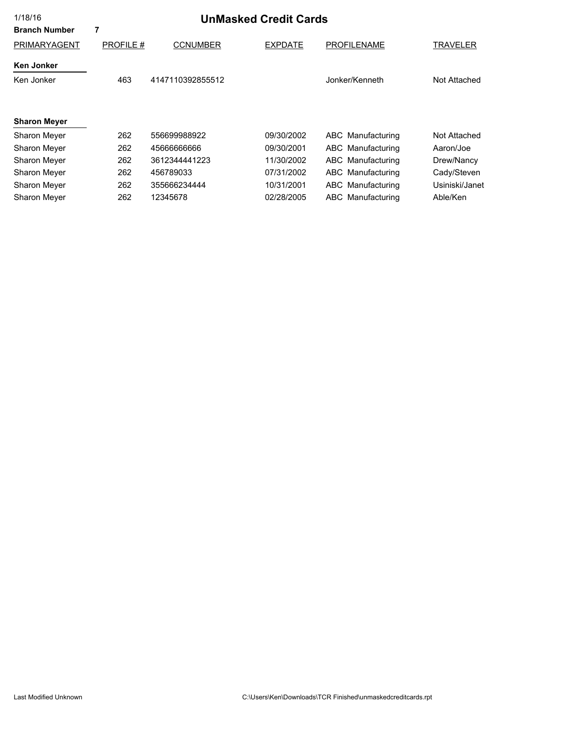| 1/18/16<br><b>Branch Number</b> | <b>UnMasked Credit Cards</b><br>7 |                  |                |                    |                |  |
|---------------------------------|-----------------------------------|------------------|----------------|--------------------|----------------|--|
| PRIMARYAGENT                    | <b>PROFILE#</b>                   | <b>CCNUMBER</b>  | <b>EXPDATE</b> | <b>PROFILENAME</b> | TRAVELER       |  |
| <b>Ken Jonker</b>               |                                   |                  |                |                    |                |  |
| Ken Jonker                      | 463                               | 4147110392855512 |                | Jonker/Kenneth     | Not Attached   |  |
|                                 |                                   |                  |                |                    |                |  |
| <b>Sharon Meyer</b>             |                                   |                  |                |                    |                |  |
| Sharon Meyer                    | 262                               | 556699988922     | 09/30/2002     | ABC Manufacturing  | Not Attached   |  |
| Sharon Meyer                    | 262                               | 4566666666       | 09/30/2001     | ABC Manufacturing  | Aaron/Joe      |  |
| <b>Sharon Mever</b>             | 262                               | 3612344441223    | 11/30/2002     | ABC Manufacturing  | Drew/Nancy     |  |
| Sharon Meyer                    | 262                               | 456789033        | 07/31/2002     | ABC Manufacturing  | Cady/Steven    |  |
| Sharon Meyer                    | 262                               | 355666234444     | 10/31/2001     | ABC Manufacturing  | Usiniski/Janet |  |
| Sharon Meyer                    | 262                               | 12345678         | 02/28/2005     | ABC Manufacturing  | Able/Ken       |  |